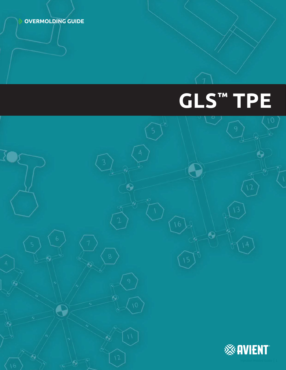**OVERMOLDING GUIDE**

# **GLS™ TPE**

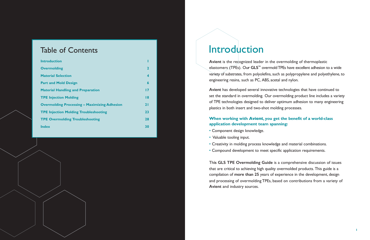## Table of Contents

| <b>Introduction</b>                                 |                  |
|-----------------------------------------------------|------------------|
| <b>Overmolding</b>                                  | $\mathbf{2}$     |
| <b>Material Selection</b>                           | $\boldsymbol{4}$ |
| <b>Part and Mold Design</b>                         | 6                |
| <b>Material Handling and Preparation</b>            | $\overline{17}$  |
| <b>TPE Injection Molding</b>                        | 8                |
| <b>Overmolding Processing - Maximizing Adhesion</b> | 21               |
| <b>TPE Injection Molding Troubleshooting</b>        | 23               |
| <b>TPE Overmolding Troubleshooting</b>              | 28               |
| <b>Index</b>                                        | 30               |
|                                                     |                  |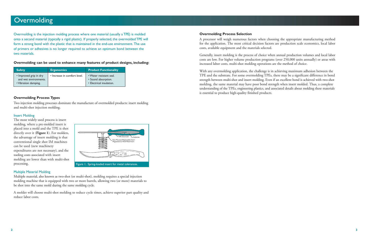### **Overmolding**

Overmolding is the injection molding process where one material (usually a TPE) is molded onto a second material (typically a rigid plastic). If properly selected, the overmolded TPE will form a strong bond with the plastic that is maintained in the end-use environment. The use of primers or adhesives is no longer required to achieve an optimum bond between the two materials.

**Overmolding can be used to enhance many features of product designs, including:**

| <b>Safety</b>                                                           | <b>Ergonomics</b>            | <b>Product Functionality</b>                                               |
|-------------------------------------------------------------------------|------------------------------|----------------------------------------------------------------------------|
| . Improved grip in dry<br>and wet environments.<br>• Vibration damping. | • Increase in comfort level. | • Water resistant seal.<br>• Sound absorption.<br>• Electrical insulation. |

#### **Overmolding Process Types**

Two injection molding processes dominate the manufacture of overmolded products: insert molding and multi-shot injection molding.

#### Insert Molding

The most widely used process is insert molding, where a pre-molded insert is placed into a mold and the TPE is shot directly over it (**Figure 1**). For molders, the advantage of insert molding is that conventional single shot IM machines can be used (new machinery expenditures are not necessary), and the tooling costs associated with insert molding are lower than with multi-shot processing.



#### Multiple Material Molding

Multiple material, also known as two-shot (or multi-shot), molding requires a special injection molding machine that is equipped with two or more barrels, allowing two (or more) materials to be shot into the same mold during the same molding cycle.

A molder will choose multi-shot molding to reduce cycle times, achieve superior part quality and reduce labor costs.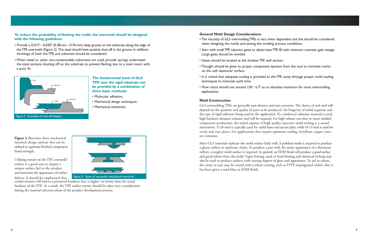#### **To reduce the probability of flashing the mold, the overmold should be designed with the following guidelines:**

- Provide a 0.015" 0.030" (0.38 mm 0.76 mm) deep groove on the substrate, along the edge of the TPE overmold (Figure 2). The steel should have positive shut-off in the groove. In addition, shrinkage of both the TPE and substrate should be considered.
- When metal or other non-compressible substrates are used, provide springs underneath the steel sections shutting off on the substrate to prevent flashing due to a steel insert with a poor fit.



#### **The fundamental bond of GLS TPE over the rigid substrate can be provided by a combination of three basic methods:**

- Molecular adhesion.
- Mechanical design techniques.
- Mechanical interlocks.

**Figure 3** illustrates three mechanical interlock design options that can be utilized to optimize finished component bond strength.

Utilizing texture on the TPE overmold surface is a good way to impart a unique surface feel to the product and minimize the appearance of surface



certain textures will lead to a perceived hardness that is higher (or lower) than the actual hardness of the TPE. As a result, the TPE surface texture should be taken into consideration during the material selection phase of the product development process.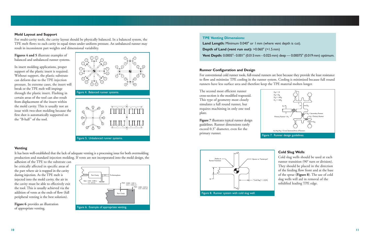#### **Mold Layout and Support**

For multi-cavity tools, the cavity layout should be physically balanced. In a balanced system, the TPE melt flows to each cavity in equal times under uniform pressure. An unbalanced runner may result in inconsistent part weights and dimensional variability.

**Figures 4 and 5** illustrate examples of balanced and unbalanced runner systems.

In insert molding applications, proper support of the plastic insert is required. Without support, the plastic substrate can deform due to the TPE injection pressure. In extreme cases, the insert will break or the TPE melt will impinge through the plastic insert. Flashing in certain areas of the tool can also result from displacement of the insert within the mold cavity. This is usually not an issue with two-shot molding because the first shot is automatically supported on the "B-half" of the tool.



#### **Venting**

It has been well-established that the lack of adequate venting is a processing issue for both overmolding production and standard injection molding. If vents are not incorporated into the mold design, the

adhesion of the TPE to the substrate can be critically affected in specific areas of the part where air is trapped in the cavity during injection. As the TPE melt is injected into the mold cavity, the air in the cavity must be able to effectively exit the tool. This is usually achieved via the addition of vents at the ends of flow (full peripheral venting is the best solution).

**Figure 6** provides an illustration of appropriate venting.

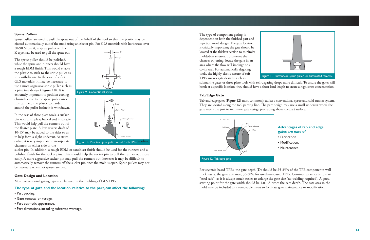#### **Sprue Pullers**

Sprue pullers are used to pull the sprue out of the A-half of the tool so that the plastic may be ejected automatically out of the mold using an ejector pin. For GLS materials with hardnesses over

50-90 Shore A, a sprue puller with a Z-type may be used to pull the sprue out.

The sprue puller should be polished, while the sprue and runners should have a rough EDM finish. This would enable the plastic to stick to the sprue puller as it is withdrawn. In the case of softer GLS materials, it may be necessary to use a more aggressive sprue puller such as a pine tree design (**Figure 10**). It is extremely important to position cooling channels close to the sprue puller since this can help the plastic to harden around the puller before it is withdrawn.

In the case of three plate tools, a sucker pin with a simple spherical end is suitable. This would help pull the runners out of the floater plate. A low reverse draft of 10-15° may be added to the sides so as to help form a slight undercut. As stated channels on either side of the







sucker pin. In addition, a rough EDM or sandblast finish should be used for the runners and a polished finish for the sucker pins. This should help the sucker pin to pull the runner out more easily. A more aggressive sucker pin may pull the runners out, however it may be difficult to automatically remove the runners off the sucker pin once the mold is open. Sprue pullers may not be necessary when hot sprues are used.

#### **Gate Design and Location**

Most conventional gating types can be used in the molding of GLS TPEs.

#### **The type of gate and the location, relative to the part, can affect the following:**

- Part packing.
- Gate removal or vestige.
- Part cosmetic appearance.
- Part dimensions, including substrate warpage.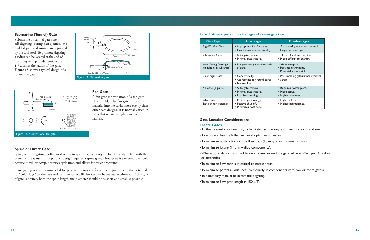#### **Submarine (Tunnel) Gate**

Submarine or tunnel gates are self-degating; during part ejection, the molded part and runner are separated by the tool steel. To promote degating, a radius can be located at the end of the sub-gate; typical dimensions are 1.5-2 times the radius of the gate. **Figure 13** shows a typical design of a submarine gate.





#### **Fan Gate**

A fan gate is a variation of a tab gate (**Figure 14**). The fan gate distributes material into the cavity more evenly than other gate designs. It is normally used in parts that require a high degree of flatness.

#### **Sprue or Direct Gate**

Sprue, or direct gating is often used on prototype parts; the cavity is placed directly in line with the center of the sprue. If the product design requires a sprue gate, a hot sprue is preferred over cold because it reduces scrap, decreases cycle time, and allows for easier processing.

Sprue gating is not recommended for production tools or for aesthetic parts due to the potential for "cold-slugs" on the part surface. The sprue will also need to be manually trimmed. If this type of gate is desired, both the sprue length and diameter should be as short and small as possible.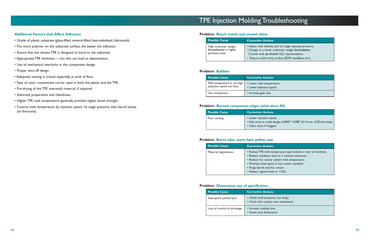#### **Additional Factors that Affect Adhesion**

- Grade of plastic substrate (glass-filled, mineral-filled, heat-stabilized, lubricated).
- The more polymer on the substrate surface, the better the adhesion.
- Ensure that the chosen TPE is designed to bond to the substrate.
- Appropriate TPE thickness too thin can lead to delamination.
- Use of mechanical interlocks in the component design.
- Proper shut-off design.
- Adequate venting is critical, especially at ends of flow.
- Type of color concentrate carrier used in both the plastic and the TPE.
- Pre-drying of the TPE overmold material, if required.
- Substrate preparation and cleanliness.
- Higher TPE melt temperature generally provides higher bond strength.
- Control melt temperature by injection speed, 1st stage pressure, then barrel temps (to fine-tune).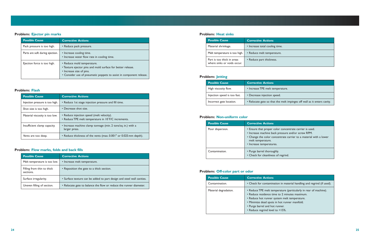#### **Problem: Ejector pin marks**

| <b>Possible Cause</b>           | <b>Corrective Actions</b>                                                                                                                                                                    |
|---------------------------------|----------------------------------------------------------------------------------------------------------------------------------------------------------------------------------------------|
| Pack pressure is too high.      | • Reduce pack pressure.                                                                                                                                                                      |
| Parts are soft during ejection. | • Increase cooling time.<br>• Increase water flow rate in cooling time.                                                                                                                      |
| Ejection force is too high.     | • Reduce mold temperature.<br>• Texture ejector pins and mold surface for better release.<br>• Increase size of pins.<br>• Consider use of pneumatic poppets to assist in component release. |

#### **Problem: Flash**

| <b>Possible Cause</b>           | <b>Corrective Actions</b>                                                                        |
|---------------------------------|--------------------------------------------------------------------------------------------------|
| Injection pressure is too high. | • Reduce 1st stage injection pressure and fill time.                                             |
| Shot size is too high.          | • Decrease shot size.                                                                            |
| Material viscosity is too low.  | • Reduce injection speed (melt velocity).<br>• Reduce TPE melt temperature in 10°F/C increments. |
| Insufficient clamp capacity.    | • Increase machine clamp tonnage (min. 2 tons/sq. in.) with a<br>larger press.                   |
| Vents are too deep.             | • Reduce thickness of the vents (max. 0.001" or 0.025 mm depth).                                 |

#### **Problem: Flow marks, folds and back fills**

| <b>Possible Cause</b>                   | <b>Corrective Actions</b>                                              |
|-----------------------------------------|------------------------------------------------------------------------|
| Melt temperature is too low.            | • Increase melt temperature.                                           |
| Filling from thin to thick<br>sections. | • Reposition the gate to a thick section.                              |
| Surface irregularity.                   | • Surface texture can be added to part design and steel wall cavities. |
| Uneven filling of section.              | • Relocate gate to balance the flow or reduce the runner diameter.     |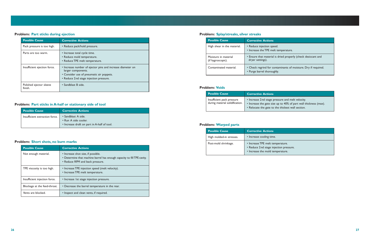#### **Problem: Part sticks during ejection**

| <b>Possible Cause</b>              | <b>Corrective Actions</b>                                                                                                                                              |
|------------------------------------|------------------------------------------------------------------------------------------------------------------------------------------------------------------------|
| Pack pressure is too high.         | • Reduce pack/hold pressure.                                                                                                                                           |
| Parts are too warm.                | • Increase total cycle time.<br>• Reduce mold temperature.<br>• Reduce TPE melt temperature.                                                                           |
| Insufficient ejection force.       | • Increase number of ejector pins and increase diameter on<br>larger components.<br>• Consider use of pneumatic air poppets.<br>• Reduce 2nd stage injection pressure. |
| Polished ejector sleeve<br>finish. | • Sandblast B side.                                                                                                                                                    |

#### **Problem: Part sticks in A-half or stationary side of tool**

| <b>Possible Cause</b>          | <b>Corrective Actions</b>                                                                  |
|--------------------------------|--------------------------------------------------------------------------------------------|
| Insufficient extraction force. | • Sandblast A side.<br>• Run A side cooler.<br>• Increase draft on part in A-half of tool. |

#### **Problem: Short shots, no burn marks**

| <b>Possible Cause</b>         | <b>Corrective Actions</b>                                                                                                                        |
|-------------------------------|--------------------------------------------------------------------------------------------------------------------------------------------------|
| Not enough material.          | • Increase shot size, if possible.<br>• Determine that machine barrel has enough capacity to fill TPE cavity.<br>• Reduce RPM and back pressure. |
| TPE viscosity is too high.    | • Increase TPE injection speed (melt velocity).<br>• Increase TPE melt temperature.                                                              |
| Insufficient injection force. | • Increase 1st stage injection pressure.                                                                                                         |
| Blockage at the feed-throat.  | • Decrease the barrel temperature in the rear.                                                                                                   |
| Vents are blocked.            | • Inspect and clean vents, if required.                                                                                                          |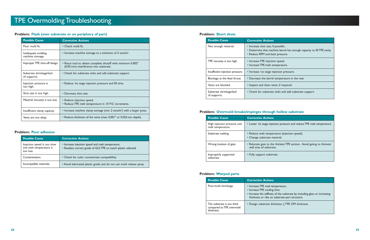#### **Problem: Flash (over substrate or on periphery of part)**

| <b>Possible Cause</b>                    | <b>Corrective Actions</b>                                                                             |
|------------------------------------------|-------------------------------------------------------------------------------------------------------|
| Poor mold fit.                           | • Check mold fit.                                                                                     |
| Inadequate molding<br>machine tonnage.   | • Increase machine tonnage to a minimum of 2 tons/in <sup>2</sup> .                                   |
| Improper TPE shut-off design.            | • Recut tool to obtain complete shutoff with minimum 0.002"<br>(0.05 mm) interference into substrate. |
| Substrate shrinkage/lack<br>of supports. | • Check for substrate sinks and add substrate support.                                                |
| Injection pressure is<br>too high.       | • Reduce 1st stage injection pressure and fill time.                                                  |
| Shot size is too high.                   | • Decrease shot size.                                                                                 |
| Material viscosity is too low.           | • Reduce injection speed.<br>• Reduce TPE melt temperature in 10°F/C increments.                      |
| Insufficient clamp capacity.             | • Increase machine clamp tonnage (min. 2 tons/in <sup>2</sup> ) with a larger press.                  |
| Vents are too deep.                      | • Reduce thickness of the vents (max. 0.001" or 0.025 mm depth).                                      |

#### **Problem: Poor adhesion**

| <b>Possible Cause</b>                                              | <b>Corrective Actions</b>                                                                                          |
|--------------------------------------------------------------------|--------------------------------------------------------------------------------------------------------------------|
| Injection speed is too slow<br>and melt temperature is<br>too low. | • Increase injection speed and melt temperature.<br>• Reselect correct grade of GLS TPE to match plastic selected. |
| Contamination.                                                     | • Check for color concentrate compatibility.                                                                       |
| Incompatible materials.                                            | • Avoid lubricated plastic grade and do not use mold release spray.                                                |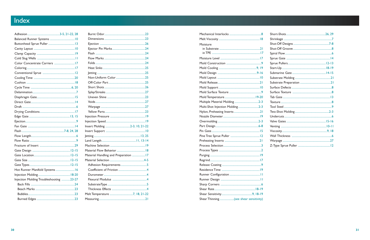### Index

| Hot Runner Manifold Systems  16         |  |
|-----------------------------------------|--|
|                                         |  |
| Injection Molding Troubleshooting 23-27 |  |
|                                         |  |
|                                         |  |
|                                         |  |
|                                         |  |
|                                         |  |

| Material Handling and Preparation 17 |
|--------------------------------------|
|                                      |
|                                      |
|                                      |
|                                      |
|                                      |
|                                      |
|                                      |
|                                      |
|                                      |